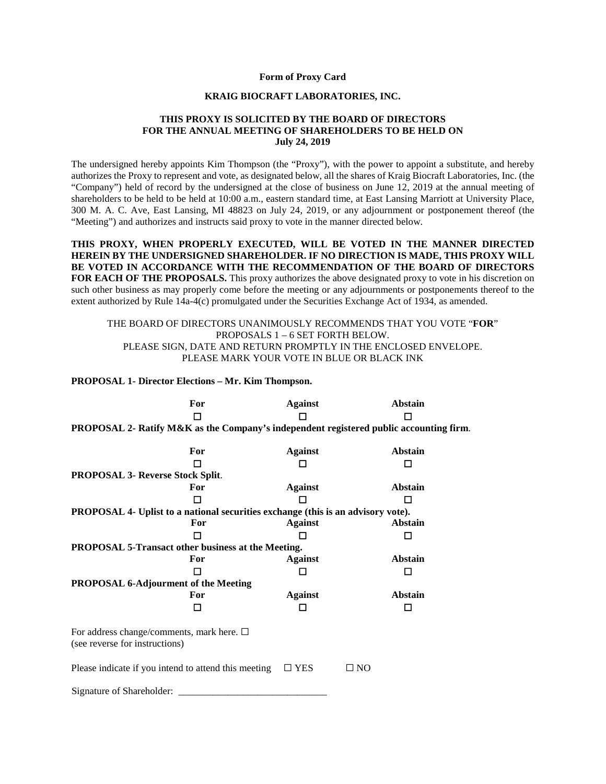### **Form of Proxy Card**

#### **KRAIG BIOCRAFT LABORATORIES, INC.**

# **THIS PROXY IS SOLICITED BY THE BOARD OF DIRECTORS FOR THE ANNUAL MEETING OF SHAREHOLDERS TO BE HELD ON July 24, 2019**

The undersigned hereby appoints Kim Thompson (the "Proxy"), with the power to appoint a substitute, and hereby authorizes the Proxy to represent and vote, as designated below, all the shares of Kraig Biocraft Laboratories, Inc. (the "Company") held of record by the undersigned at the close of business on June 12, 2019 at the annual meeting of shareholders to be held to be held at 10:00 a.m., eastern standard time, at East Lansing Marriott at University Place, 300 M. A. C. Ave, East Lansing, MI 48823 on July 24, 2019, or any adjournment or postponement thereof (the "Meeting") and authorizes and instructs said proxy to vote in the manner directed below.

**THIS PROXY, WHEN PROPERLY EXECUTED, WILL BE VOTED IN THE MANNER DIRECTED HEREIN BY THE UNDERSIGNED SHAREHOLDER. IF NO DIRECTION IS MADE, THIS PROXY WILL BE VOTED IN ACCORDANCE WITH THE RECOMMENDATION OF THE BOARD OF DIRECTORS FOR EACH OF THE PROPOSALS.** This proxy authorizes the above designated proxy to vote in his discretion on such other business as may properly come before the meeting or any adjournments or postponements thereof to the extent authorized by Rule 14a-4(c) promulgated under the Securities Exchange Act of 1934, as amended.

# THE BOARD OF DIRECTORS UNANIMOUSLY RECOMMENDS THAT YOU VOTE "**FOR**" PROPOSALS 1 – 6 SET FORTH BELOW. PLEASE SIGN, DATE AND RETURN PROMPTLY IN THE ENCLOSED ENVELOPE. PLEASE MARK YOUR VOTE IN BLUE OR BLACK INK

# **PROPOSAL 1- Director Elections – Mr. Kim Thompson.**

|                                                                                        | For | <b>Against</b> |              | <b>Abstain</b> |  |
|----------------------------------------------------------------------------------------|-----|----------------|--------------|----------------|--|
|                                                                                        | п   |                |              |                |  |
| PROPOSAL 2- Ratify M&K as the Company's independent registered public accounting firm. |     |                |              |                |  |
|                                                                                        |     |                |              |                |  |
|                                                                                        | For | <b>Against</b> |              | <b>Abstain</b> |  |
|                                                                                        | п   |                |              | П              |  |
| <b>PROPOSAL 3- Reverse Stock Split.</b>                                                |     |                |              |                |  |
|                                                                                        | For | <b>Against</b> |              | Abstain        |  |
|                                                                                        | П   |                |              | П              |  |
| PROPOSAL 4- Uplist to a national securities exchange (this is an advisory vote).       |     |                |              |                |  |
|                                                                                        | For | <b>Against</b> |              | Abstain        |  |
|                                                                                        | I I |                |              | l 1            |  |
| PROPOSAL 5-Transact other business at the Meeting.                                     |     |                |              |                |  |
|                                                                                        | For | <b>Against</b> |              | <b>Abstain</b> |  |
|                                                                                        | п   |                |              | П              |  |
| PROPOSAL 6-Adjourment of the Meeting                                                   |     |                |              |                |  |
|                                                                                        | For | <b>Against</b> |              | Abstain        |  |
|                                                                                        | П   |                |              | П              |  |
| For address change/comments, mark here. $\square$<br>(see reverse for instructions)    |     |                |              |                |  |
| Please indicate if you intend to attend this meeting                                   |     | $\square$ YES  | $\square$ NO |                |  |
| Signature of Shareholder:                                                              |     |                |              |                |  |